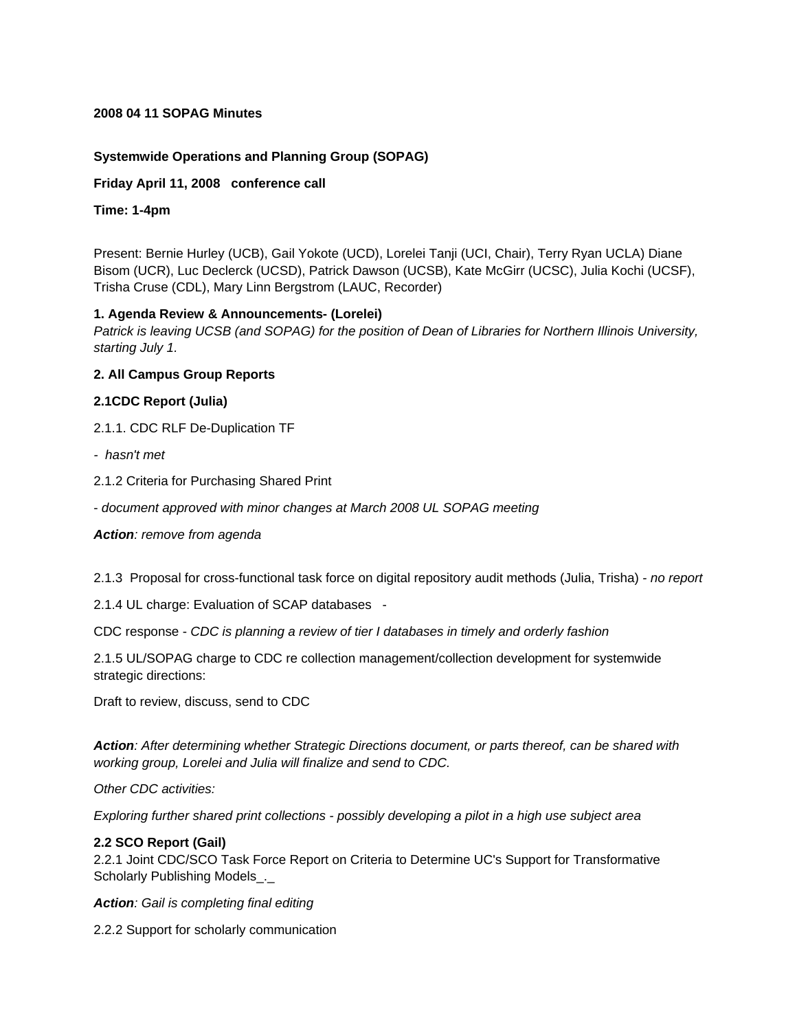#### **2008 04 11 SOPAG Minutes**

# **Systemwide Operations and Planning Group (SOPAG)**

**Friday April 11, 2008 conference call**

**Time: 1-4pm**

Present: Bernie Hurley (UCB), Gail Yokote (UCD), Lorelei Tanji (UCI, Chair), Terry Ryan UCLA) Diane Bisom (UCR), Luc Declerck (UCSD), Patrick Dawson (UCSB), Kate McGirr (UCSC), Julia Kochi (UCSF), Trisha Cruse (CDL), Mary Linn Bergstrom (LAUC, Recorder)

### **1. Agenda Review & Announcements- (Lorelei)**

*Patrick is leaving UCSB (and SOPAG) for the position of Dean of Libraries for Northern Illinois University, starting July 1.*

### **2. All Campus Group Reports**

### **2.1CDC Report (Julia)**

- 2.1.1. CDC RLF De-Duplication TF
- *hasn't met*
- 2.1.2 Criteria for Purchasing Shared Print
- *document approved with minor changes at March 2008 UL SOPAG meeting*

#### *Action: remove from agenda*

2.1.3 Proposal for cross-functional task force on digital repository audit methods (Julia, Trisha) *- no report*

2.1.4 UL charge: Evaluation of SCAP databases -

CDC response - *CDC is planning a review of tier I databases in timely and orderly fashion*

2.1.5 UL/SOPAG charge to CDC re collection management/collection development for systemwide strategic directions:

Draft to review, discuss, send to CDC

*Action: After determining whether Strategic Directions document, or parts thereof, can be shared with working group, Lorelei and Julia will finalize and send to CDC.*

*Other CDC activities:*

*Exploring further shared print collections - possibly developing a pilot in a high use subject area*

#### **2.2 SCO Report (Gail)**

2.2.1 Joint CDC/SCO Task Force Report on Criteria to Determine UC's Support for Transformative Scholarly Publishing Models.

*Action: Gail is completing final editing*

2.2.2 Support for scholarly communication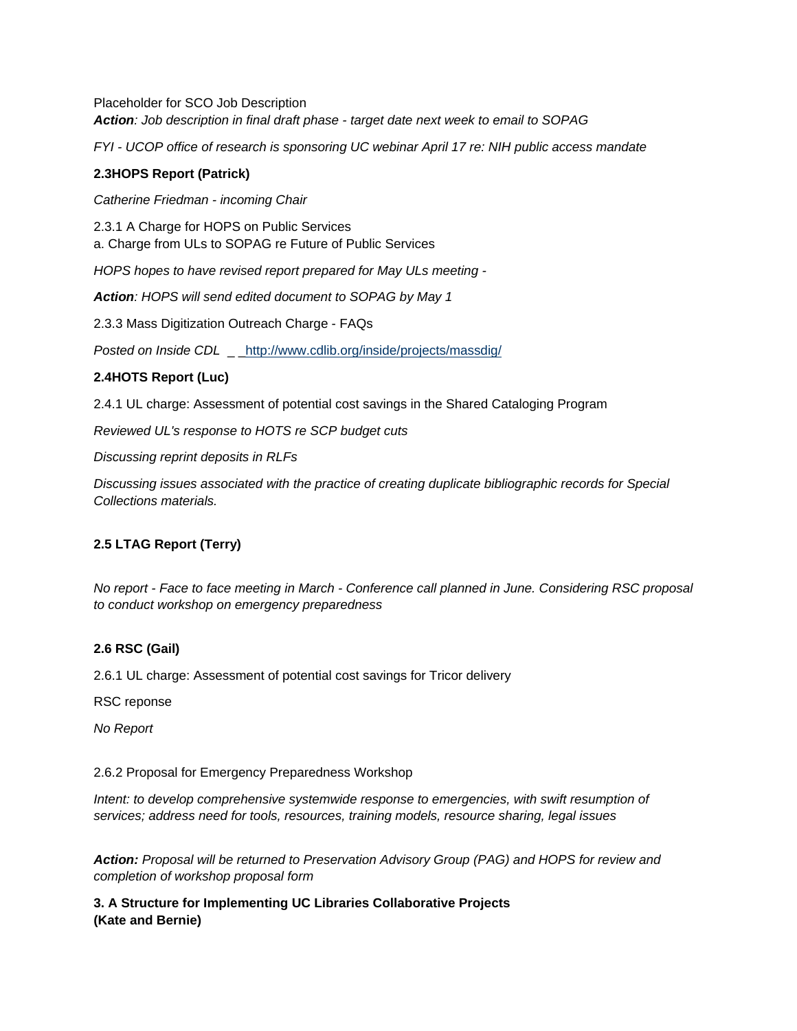Placeholder for SCO Job Description *Action: Job description in final draft phase - target date next week to email to SOPAG*

*FYI - UCOP office of research is sponsoring UC webinar April 17 re: NIH public access mandate*

### **2.3HOPS Report (Patrick)**

*Catherine Friedman - incoming Chair*

2.3.1 A Charge for HOPS on Public Services a. Charge from ULs to SOPAG re Future of Public Services

*HOPS hopes to have revised report prepared for May ULs meeting -*

*Action: HOPS will send edited document to SOPAG by May 1*

2.3.3 Mass Digitization Outreach Charge - FAQs

*Posted on Inside CDL* \_ <http://www.cdlib.org/inside/projects/massdig/>

## **2.4HOTS Report (Luc)**

2.4.1 UL charge: Assessment of potential cost savings in the Shared Cataloging Program

*Reviewed UL's response to HOTS re SCP budget cuts*

*Discussing reprint deposits in RLFs*

*Discussing issues associated with the practice of creating duplicate bibliographic records for Special Collections materials.*

## **2.5 LTAG Report (Terry)**

*No report - Face to face meeting in March - Conference call planned in June. Considering RSC proposal to conduct workshop on emergency preparedness*

## **2.6 RSC (Gail)**

2.6.1 UL charge: Assessment of potential cost savings for Tricor delivery

RSC reponse

*No Report*

#### 2.6.2 Proposal for Emergency Preparedness Workshop

*Intent: to develop comprehensive systemwide response to emergencies, with swift resumption of services; address need for tools, resources, training models, resource sharing, legal issues*

*Action: Proposal will be returned to Preservation Advisory Group (PAG) and HOPS for review and completion of workshop proposal form*

**3. A Structure for Implementing UC Libraries Collaborative Projects (Kate and Bernie)**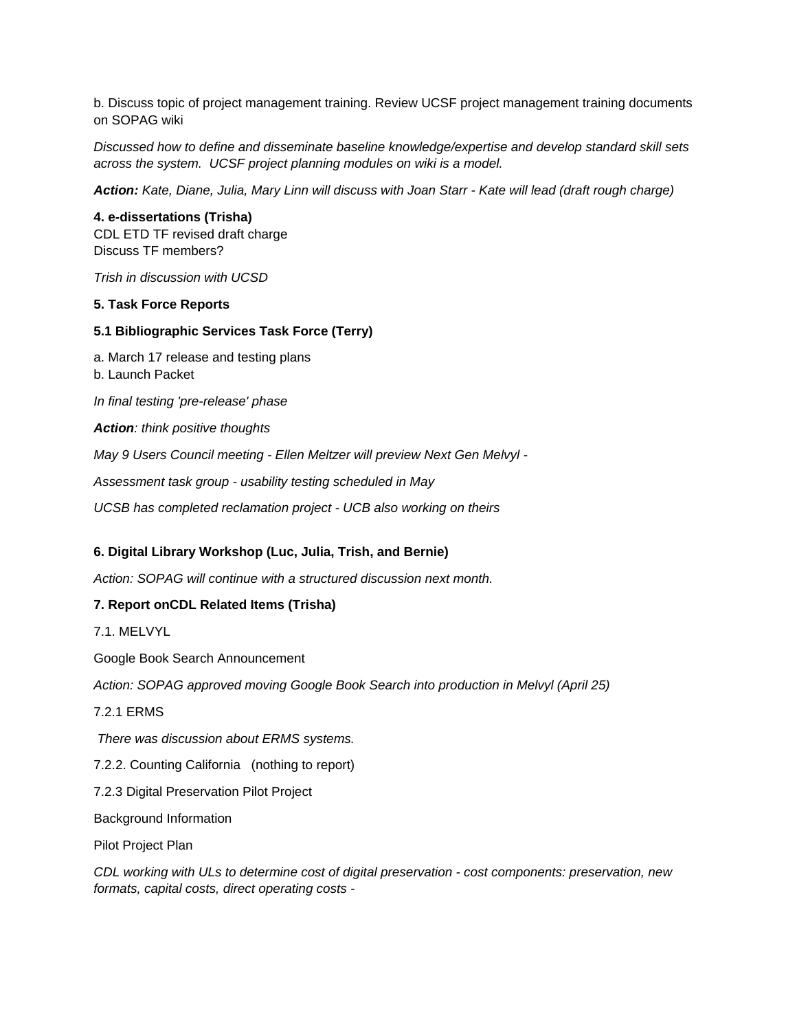b. Discuss topic of project management training. Review UCSF project management training documents on SOPAG wiki

*Discussed how to define and disseminate baseline knowledge/expertise and develop standard skill sets across the system. UCSF project planning modules on wiki is a model.*

*Action: Kate, Diane, Julia, Mary Linn will discuss with Joan Starr - Kate will lead (draft rough charge)*

**4. e-dissertations (Trisha)** CDL ETD TF revised draft charge Discuss TF members?

*Trish in discussion with UCSD*

### **5. Task Force Reports**

### **5.1 Bibliographic Services Task Force (Terry)**

a. March 17 release and testing plans b. Launch Packet *In final testing 'pre-release' phase Action: think positive thoughts May 9 Users Council meeting - Ellen Meltzer will preview Next Gen Melvyl -*

*Assessment task group - usability testing scheduled in May*

*UCSB has completed reclamation project - UCB also working on theirs*

## **6. Digital Library Workshop (Luc, Julia, Trish, and Bernie)**

*Action: SOPAG will continue with a structured discussion next month.*

## **7. Report onCDL Related Items (Trisha)**

7.1. MELVYL

Google Book Search Announcement

*Action: SOPAG approved moving Google Book Search into production in Melvyl (April 25)*

7.2.1 ERMS

 *There was discussion about ERMS systems.*

7.2.2. Counting California (nothing to report)

7.2.3 Digital Preservation Pilot Project

Background Information

Pilot Project Plan

*CDL working with ULs to determine cost of digital preservation - cost components: preservation, new formats, capital costs, direct operating costs -*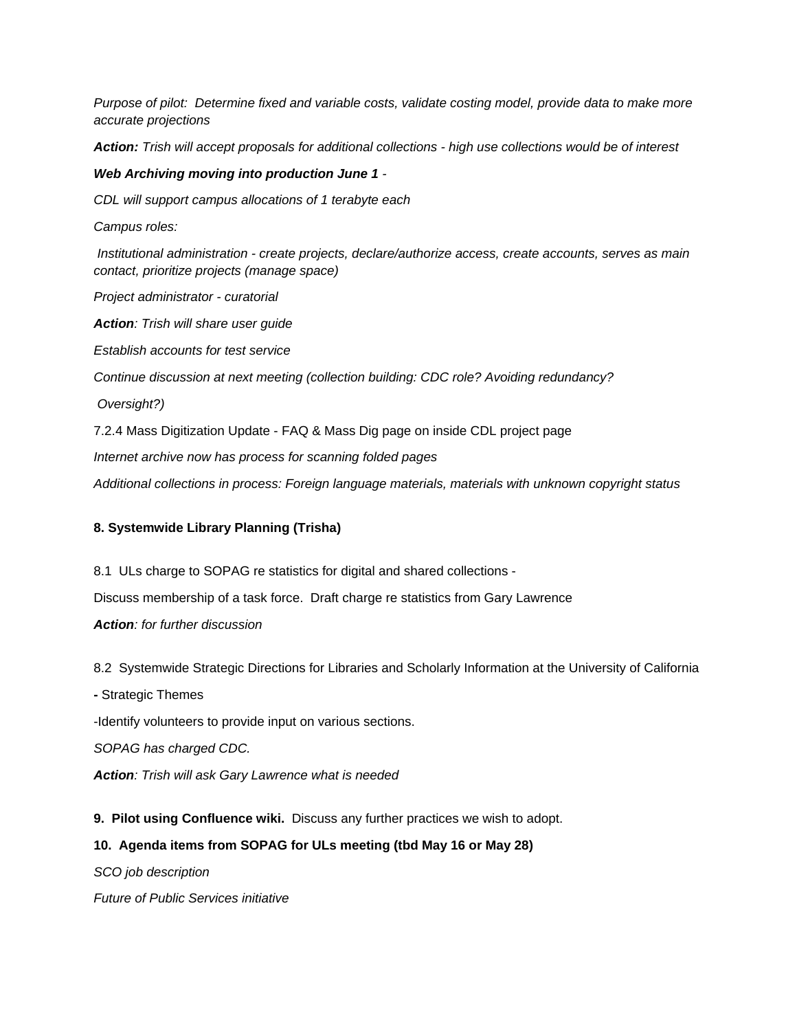*Purpose of pilot: Determine fixed and variable costs, validate costing model, provide data to make more accurate projections*

*Action: Trish will accept proposals for additional collections - high use collections would be of interest*

### *Web Archiving moving into production June 1 -*

*CDL will support campus allocations of 1 terabyte each*

*Campus roles:*

 *Institutional administration - create projects, declare/authorize access, create accounts, serves as main contact, prioritize projects (manage space)*

*Project administrator - curatorial*

*Action: Trish will share user guide*

*Establish accounts for test service*

*Continue discussion at next meeting (collection building: CDC role? Avoiding redundancy?*

 *Oversight?)*

7.2.4 Mass Digitization Update - FAQ & Mass Dig page on inside CDL project page

*Internet archive now has process for scanning folded pages*

*Additional collections in process: Foreign language materials, materials with unknown copyright status*

## **8. Systemwide Library Planning (Trisha)**

8.1 ULs charge to SOPAG re statistics for digital and shared collections - Discuss membership of a task force. Draft charge re statistics from Gary Lawrence *Action: for further discussion*

8.2 Systemwide Strategic Directions for Libraries and Scholarly Information at the University of California

**-** Strategic Themes

-Identify volunteers to provide input on various sections.

*SOPAG has charged CDC.*

*Action: Trish will ask Gary Lawrence what is needed*

**9. Pilot using Confluence wiki.** Discuss any further practices we wish to adopt.

## **10. Agenda items from SOPAG for ULs meeting (tbd May 16 or May 28)**

*SCO job description*

*Future of Public Services initiative*